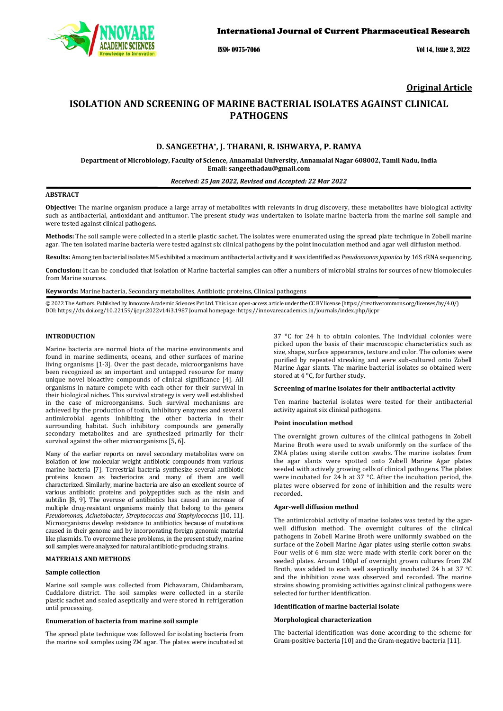

ISSN- 0975-7066 Vol 14, Issue 3, 2022

# **Original Article**

# **ISOLATION AND SCREENING OF MARINE BACTERIAL ISOLATES AGAINST CLINICAL PATHOGENS**

## **D. SANGEETHA\*, J. THARANI, R. ISHWARYA, P. RAMYA**

**Department of Microbiology, Faculty of Science, Annamalai University, Annamalai Nagar 608002, Tamil Nadu, India Email[: sangeethadau@gmail.com](mailto:sangeethadau@gmail.com)**

#### *Received: 25 Jan 2022, Revised and Accepted: 22 Mar 2022*

## **ABSTRACT**

**Objective:** The marine organism produce a large array of metabolites with relevants in drug discovery, these metabolites have biological activity such as antibacterial, antioxidant and antitumor. The present study was undertaken to isolate marine bacteria from the marine soil sample and were tested against clinical pathogens.

**Methods:** The soil sample were collected in a sterile plastic sachet. The isolates were enumerated using the spread plate technique in Zobell marine agar. The ten isolated marine bacteria were tested against six clinical pathogens by the point inoculation method and agar well diffusion method.

**Results:** Among ten bacterial isolates M5 exhibited a maximum antibacterial activity and it was identified as *Pseudomonas japonica* by 16S rRNA sequencing.

**Conclusion:** It can be concluded that isolation of Marine bacterial samples can offer a numbers of microbial strains for sources of new biomolecules from Marine sources.

**Keywords:** Marine bacteria, Secondary metabolites, Antibiotic proteins, Clinical pathogens

© 2022 The Authors. Published by Innovare Academic Sciences Pvt Ltd. This is an open-access article under the CC BY license [\(https://creativecommons.org/licenses/by/4.0/\)](https://creativecommons.org/licenses/by/4.0/) DOI[: https://dx.doi.org/10.22159/ijcpr.2022v14i3.1](https://dx.doi.org/10.22159/ijcpr.2022v14i3)987 Journal homepage[: https://innovareacademics.in/journals/index.php/ijcpr](https://innovareacademics.in/journals/index.php/ijcpr)

### **INTRODUCTION**

Marine bacteria are normal biota of the marine environments and found in marine sediments, oceans, and other surfaces of marine living organisms [1-3]. Over the past decade, microorganisms have been recognized as an important and untapped resource for many unique novel bioactive compounds of clinical significance [4]. All organisms in nature compete with each other for their survival in their biological niches. This survival strategy is very well established in the case of microorganisms. Such survival mechanisms are achieved by the production of toxin, inhibitory enzymes and several antimicrobial agents inhibiting the other bacteria in their surrounding habitat. Such inhibitory compounds are generally secondary metabolites and are synthesized primarily for their survival against the other microorganisms [5, 6].

Many of the earlier reports on novel secondary metabolites were on isolation of low molecular weight antibiotic compounds from various marine bacteria [7]. Terrestrial bacteria synthesize several antibiotic proteins known as bacteriocins and many of them are well characterized. Similarly, marine bacteria are also an excellent source of various antibiotic proteins and polypeptides such as the nisin and subtilin [8, 9]. The overuse of antibiotics has caused an increase of multiple drug-resistant organisms mainly that belong to the genera *Pseudomonas, Acinetobacter, Streptococcus and Staphylococcus* [10, 11]. Microorganisms develop resistance to antibiotics because of mutations caused in their genome and by incorporating foreign genomic material like plasmids. To overcome these problems, in the present study, marine soil samples were analyzed for natural antibiotic-producing strains.

### **MATERIALS AND METHODS**

#### **Sample collection**

Marine soil sample was collected from Pichavaram, Chidambaram, Cuddalore district. The soil samples were collected in a sterile plastic sachet and sealed aseptically and were stored in refrigeration until processing.

### **Enumeration of bacteria from marine soil sample**

The spread plate technique was followed for isolating bacteria from the marine soil samples using ZM agar. The plates were incubated at

37 °C for 24 h to obtain colonies. The individual colonies were picked upon the basis of their macroscopic characteristics such as size, shape, surface appearance, texture and color. The colonies were purified by repeated streaking and were sub-cultured onto Zobell Marine Agar slants. The marine bacterial isolates so obtained were stored at  $4^{\circ}$ C, for further study.

#### **Screening of marine isolates for their antibacterial activity**

Ten marine bacterial isolates were tested for their antibacterial activity against six clinical pathogens.

#### **Point inoculation method**

The overnight grown cultures of the clinical pathogens in Zobell Marine Broth were used to swab uniformly on the surface of the ZMA plates using sterile cotton swabs. The marine isolates from the agar slants were spotted onto Zobell Marine Agar plates seeded with actively growing cells of clinical pathogens. The plates were incubated for 24 h at 37 °C. After the incubation period, the plates were observed for zone of inhibition and the results were recorded.

### **Agar-well diffusion method**

The antimicrobial activity of marine isolates was tested by the agarwell diffusion method. The overnight cultures of the clinical pathogens in Zobell Marine Broth were uniformly swabbed on the surface of the Zobell Marine Agar plates using sterile cotton swabs. Four wells of 6 mm size were made with sterile cork borer on the seeded plates. Around 100μl of overnight grown cultures from ZM Broth, was added to each well aseptically incubated 24 h at 37 °C and the inhibition zone was observed and recorded. The marine strains showing promising activities against clinical pathogens were selected for further identification.

#### **Identification of marine bacterial isolate**

#### **Morphological characterization**

The bacterial identification was done according to the scheme for Gram-positive bacteria [10] and the Gram-negative bacteria [11].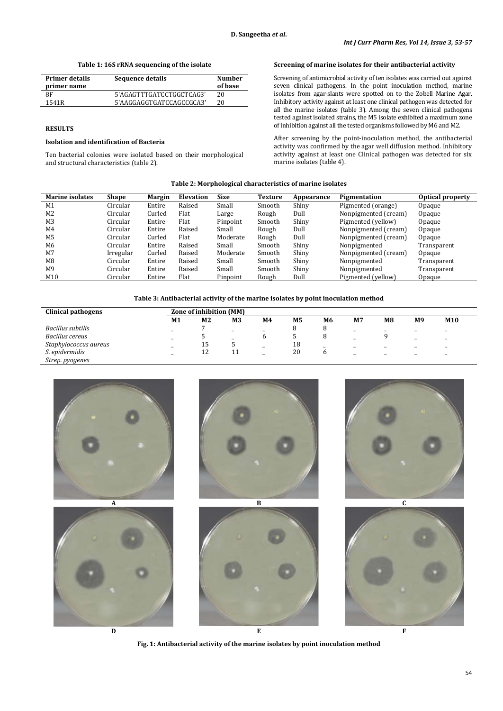**Table 1: 16S rRNA sequencing of the isolate**

| <b>Primer details</b><br>primer name | Sequence details         | <b>Number</b><br>of base |
|--------------------------------------|--------------------------|--------------------------|
| 8F                                   | 5'AGAGTTTGATCCTGGCTCAG3' | 20                       |
| 1541R                                | 5'AAGGAGGTGATCCAGCCGCA3' | 20                       |

# **RESULTS**

### **Isolation and identification of Bacteria**

Ten bacterial colonies were isolated based on their morphological and structural characteristics (table 2).

### **Screening of marine isolates for their antibacterial activity**

Screening of antimicrobial activity of ten isolates was carried out against seven clinical pathogens. In the point inoculation method, marine isolates from agar-slants were spotted on to the Zobell Marine Agar. Inhibitory activity against at least one clinical pathogen was detected for all the marine isolates (table 3). Among the seven clinical pathogens tested against isolated strains, the M5 isolate exhibited a maximum zone of inhibition against all the tested organisms followed by M6 and M2.

After screening by the point-inoculation method, the antibacterial activity was confirmed by the agar well diffusion method. Inhibitory activity against at least one Clinical pathogen was detected for six marine isolates (table 4).

### **Table 2: Morphological characteristics of marine isolates**

| <b>Marine isolates</b> | <b>Shape</b> | <b>Margin</b> | <b>Elevation</b> | <b>Size</b> | Texture | Appearance | Pigmentation         | Optical property |  |
|------------------------|--------------|---------------|------------------|-------------|---------|------------|----------------------|------------------|--|
| M1                     | Circular     | Entire        | Raised           | Small       | Smooth  | Shiny      | Pigmented (orange)   | Opaque           |  |
| M2                     | Circular     | Curled        | Flat             | Large       | Rough   | Dull       | Nonpigmented (cream) | Opaque           |  |
| M <sub>3</sub>         | Circular     | Entire        | Flat             | Pinpoint    | Smooth  | Shiny      | Pigmented (yellow)   | Opaque           |  |
| M4                     | Circular     | Entire        | Raised           | Small       | Rough   | Dull       | Nonpigmented (cream) | Opaque           |  |
| M <sub>5</sub>         | Circular     | Curled        | Flat             | Moderate    | Rough   | Dull       | Nonpigmented (cream) | Opaque           |  |
| M6                     | Circular     | Entire        | Raised           | Small       | Smooth  | Shiny      | Nonpigmented         | Transparent      |  |
| M7                     | Irregular    | Curled        | Raised           | Moderate    | Smooth  | Shiny      | Nonpigmented (cream) | Opaque           |  |
| M8                     | Circular     | Entire        | Raised           | Small       | Smooth  | Shiny      | Nonpigmented         | Transparent      |  |
| M <sub>9</sub>         | Circular     | Entire        | Raised           | Small       | Smooth  | Shiny      | Nonpigmented         | Transparent      |  |
| M10                    | Circular     | Entire        | Flat             | Pinpoint    | Rough   | Dull       | Pigmented (yellow)   | Opaque           |  |

### **Table 3: Antibacterial activity of the marine isolates by point inoculation method**

| <b>Clinical pathogens</b> | Zone of inhibition (MM)  |                |                          |    |    |                          |                          |                |                |                          |
|---------------------------|--------------------------|----------------|--------------------------|----|----|--------------------------|--------------------------|----------------|----------------|--------------------------|
|                           | M1                       | M <sub>2</sub> | M <sub>3</sub>           | M4 | M5 | M6                       | M7                       | M <sub>8</sub> | M <sub>9</sub> | M <sub>10</sub>          |
| Bacillus subtilis         | -                        |                |                          |    |    |                          | -                        |                |                | -                        |
| Bacillus cereus           | -                        |                | $\overline{\phantom{0}}$ |    |    |                          | -                        |                |                | $\overline{\phantom{a}}$ |
| Staphylococcus aureus     | -                        | 15             |                          | -  | 18 | $\overline{\phantom{a}}$ | -                        | $\sim$         | -              | $\overline{\phantom{0}}$ |
| S. epidermidis            | $\overline{\phantom{0}}$ | 12             |                          |    | 20 |                          | $\overline{\phantom{a}}$ |                | -              | $\overline{\phantom{0}}$ |
| Strep. pyogenes           |                          |                |                          |    |    |                          |                          |                |                |                          |



**Fig. 1: Antibacterial activity of the marine isolates by point inoculation method**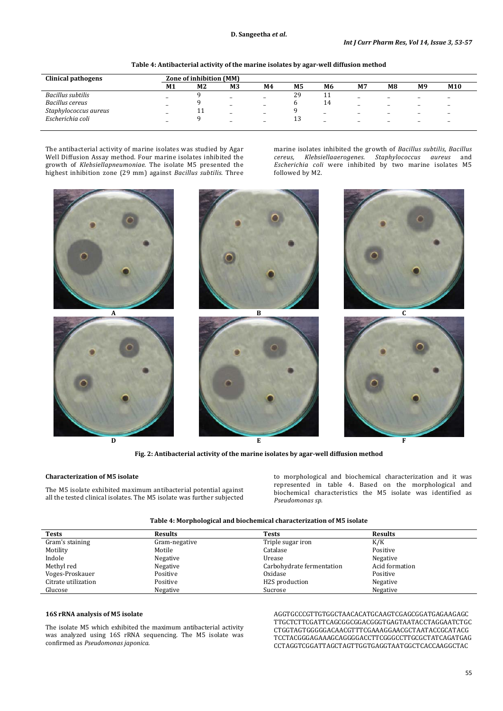| Clinical pathogens    | Zone of inhibition (MM) |           |                          |                          |    |                          |          |                          |                          |                 |
|-----------------------|-------------------------|-----------|--------------------------|--------------------------|----|--------------------------|----------|--------------------------|--------------------------|-----------------|
|                       | M1                      | М2        | M <sub>3</sub>           | M4                       | М5 | M6                       | M7       | M8                       | M <sub>9</sub>           | M <sub>10</sub> |
| Bacillus subtilis     | $\sim$                  |           | $\overline{\phantom{0}}$ | $\overline{\phantom{0}}$ | 29 | <b>TT</b>                | -        | $\overline{\phantom{a}}$ |                          |                 |
| Bacillus cereus       | -                       |           | $\overline{\phantom{a}}$ | -                        |    | 14                       | -        | -                        | -                        |                 |
| Staphylococcus aureus | -                       | <b>**</b> | $\sim$                   | $\equiv$                 |    | $\equiv$                 | $\equiv$ | -                        |                          | -               |
| Escherichia coli      | $\sim$                  |           | -                        | $\overline{\phantom{a}}$ | IJ | $\overline{\phantom{a}}$ | -        | $\overline{\phantom{0}}$ | $\overline{\phantom{a}}$ | -               |

The antibacterial activity of marine isolates was studied by Agar Well Diffusion Assay method. Four marine isolates inhibited the growth of *Klebsiellapneumoniae*. The isolate M5 presented the highest inhibition zone (29 mm) against *Bacillus subtilis*. Three marine isolates inhibited the growth of *Bacillus subtilis, Bacillus cereus, Klebsiellaaerogenes. Staphylococcus aureus* and *Escherichia coli* were inhibited by two marine isolates M5 followed by M2.



**Fig. 2: Antibacterial activity of the marine isolates by agar-well diffusion method**

### **Characterization of M5 isolate**

The M5 isolate exhibited maximum antibacterial potential against all the tested clinical isolates. The M5 isolate was further subjected

to morphological and biochemical characterization and it was represented in table 4. Based on the morphological and biochemical characteristics the M5 isolate was identified as *Pseudomonas sp.*

| <b>Tests</b>        | <b>Results</b> | <b>Tests</b>                | <b>Results</b> |
|---------------------|----------------|-----------------------------|----------------|
| Gram's staining     | Gram-negative  | Triple sugar iron           | K/K            |
| Motility            | Motile         | Catalase                    | Positive       |
| Indole              | Negative       | Urease                      | Negative       |
| Methyl red          | Negative       | Carbohydrate fermentation   | Acid formation |
| Voges-Proskauer     | Positive       | Oxidase                     | Positive       |
| Citrate utilization | Positive       | H <sub>2</sub> S production | Negative       |
| Glucose             | Negative       | Sucrose                     | Negative       |

### **16S rRNA analysis of M5 isolate**

The isolate M5 which exhibited the maximum antibacterial activity was analyzed using 16S rRNA sequencing. The M5 isolate was confirmed as *Pseudomonas japonica*.

AGGTGCCCGTTGTGGCTAACACATGCAAGTCGAGCGGATGAGAAGAGC TTGCTCTTCGATTCAGCGGCGGACGGGTGAGTAATACCTAGGAATCTGC CTGGTAGTGGGGGACAACGTTTCGAAAGGAACGCTAATACCGCATACG TCCTACGGGAGAAAGCAGGGGACCTTCGGGCCTTGCGCTATCAGATGAG CCTAGGTCGGATTAGCTAGTTGGTGAGGTAATGGCTCACCAAGGCTAC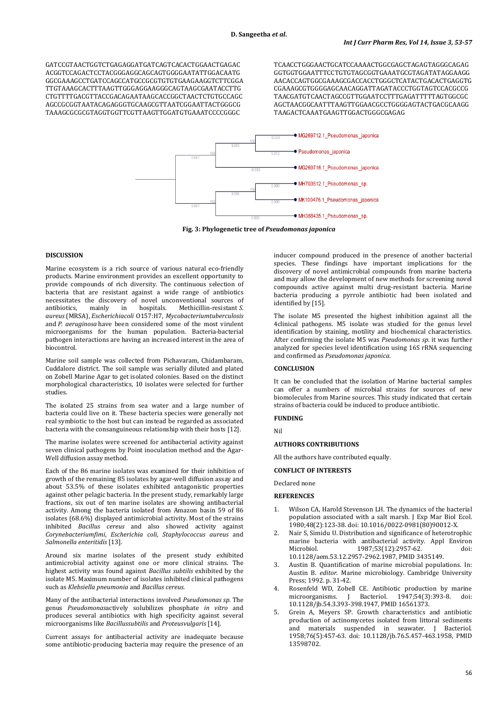GATCCGTAACTGGTCTGAGAGGATGATCAGTCACACTGGAACTGAGAC ACGGTCCAGACTCCTACGGGAGGCAGCAGTGGGGAATATTGGACAATG GGCGAAAGCCTGATCCAGCCATGCCGCGTGTGTGAAGAAGGTCTTCGGA TTGTAAAGCACTTTAAGTTGGGAGGAAGGGCAGTAAGCGAATACCTTG CTGTTTTGACGTTACCGACAGAATAAGCACCGGCTAACTCTGTGCCAGC AGCCGCGGTAATACAGAGGGTGCAAGCGTTAATCGGAATTACTGGGCG TAAAGCGCGCGTAGGTGGTTCGTTAAGTTGGATGTGAAATCCCCGGGC

TCAACCTGGGAACTGCATCCAAAACTGGCGAGCTAGAGTAGGGCAGAG GGTGGTGGAATTTCCTGTGTAGCGGTGAAATGCGTAGATATAGGAAGG AACACCAGTGGCGAAAGCGACCACCTGGGCTCATACTGACACTGAGGTG CGAAAGCGTGGGGAGCAACAGGATTAGATACCCTGGTAGTCCACGCCG TAACGATGTCAACTAGCCGTTGGAATCCTTTGAGATTTTTAGTGGCGC AGCTAACGGCAATTTAAGTTGGAACGCCTGGGGAGTACTGACGCAAGG TAAGACTCAAATGAAGTTGGACTGGGCGAGAG



**Fig. 3: Phylogenetic tree of** *Pseudomonas japonica*

### **DISCUSSION**

Marine ecosystem is a rich source of various natural eco-friendly products. Marine environment provides an excellent opportunity to provide compounds of rich diversity. The continuous selection of bacteria that are resistant against a wide range of antibiotics necessitates the discovery of novel unconventional sources of antibiotics, mainly in hospitals. Methicillin-resistant S. antibiotics, mainly in hospitals. Methicillin-resistant *S. aureus* (MRSA), *Escherichiacoli* O157:H7, *Mycobacteriumtuberculosis* and *P. aeruginosa* have been considered some of the most virulent microorganisms for the human population. Bacteria-bacterial pathogen interactions are having an increased interest in the area of biocontrol.

Marine soil sample was collected from Pichavaram, Chidambaram, Cuddalore district. The soil sample was serially diluted and plated on Zobell Marine Agar to get isolated colonies. Based on the distinct morphological characteristics, 10 isolates were selected for further studies.

The isolated 25 strains from sea water and a large number of bacteria could live on it. These bacteria species were generally not real symbiotic to the host but can instead be regarded as associated bacteria with the consanguineous relationship with their hosts [12].

The marine isolates were screened for antibacterial activity against seven clinical pathogens by Point inoculation method and the Agar-Well diffusion assay method.

Each of the 86 marine isolates was examined for their inhibition of growth of the remaining 85 isolates by agar-well diffusion assay and about 53.5% of these isolates exhibited antagonistic properties against other pelagic bacteria. In the present study, remarkably large fractions, six out of ten marine isolates are showing antibacterial activity. Among the bacteria isolated from Amazon basin 59 of 86 isolates (68.6%) displayed antimicrobial activity. Most of the strains inhibited *Bacillus cereus* and also showed activity against *Corynebacteriumfimi*, *Escherichia coli, Staphylococcus aureus* and *Salmonella enteritidis* [13].

Around six marine isolates of the present study exhibited antimicrobial activity against one or more clinical strains. The highest activity was found against *Bacillus subtilis* exhibited by the isolate M5. Maximum number of isolates inhibited clinical pathogens such as *Klebsiella pneumonia* and *Bacillus cereus.*

Many of the antibacterial interactions involved *Pseudomonas sp*. The genus *Pseudomonas*actively solubilizes phosphate *in vitro* and produces several antibiotics with high specificity against several microorganisms like *Bacillussubtilis* and *Proteusvulgaris* [14].

Current assays for antibacterial activity are inadequate because some antibiotic-producing bacteria may require the presence of an

inducer compound produced in the presence of another bacterial species. These findings have important implications for the discovery of novel antimicrobial compounds from marine bacteria and may allow the development of new methods for screening novel compounds active against multi drug-resistant bacteria. Marine bacteria producing a pyrrole antibiotic had been isolated and identified by [15].

The isolate M5 presented the highest inhibition against all the 4clinical pathogens. M5 isolate was studied for the genus level identification by staining, motility and biochemical characteristics. After confirming the isolate M5 was *Pseudomonas sp*. it was further analyzed for species level identification using 16S rRNA sequencing and confirmed as *Pseudomonas japonica*.

## **CONCLUSION**

It can be concluded that the isolation of Marine bacterial samples can offer a numbers of microbial strains for sources of new biomolecules from Marine sources. This study indicated that certain strains of bacteria could be induced to produce antibiotic.

# **FUNDING**

Nil

### **AUTHORS CONTRIBUTIONS**

All the authors have contributed equally.

### **CONFLICT OF INTERESTS**

Declared none

# **REFERENCES**

- 1. Wilson CA, Harold Stevenson LH. The dynamics of the bacterial population associated with a salt marsh. J Exp Mar Biol Ecol. 1980;48(2):123-38. doi[: 10.1016/0022-0981\(80\)90012-X.](https://doi.org/10.1016/0022-0981(80)90012-X)
- 2. Nair S, Simidu U. Distribution and significance of heterotrophic marine bacteria with antibacterial activity. Appl Environ<br>Microbiol. 1987;53(12):2957-62. doi: 1987;53(12):2957-62. [10.1128/aem.53.12.2957-2962.1987,](https://doi.org/10.1128/aem.53.12.2957-2962.1987) PMI[D 3435149.](https://www.ncbi.nlm.nih.gov/pubmed/3435149)
- 3. Austin B. Quantification of marine microbial populations. In: Austin B*. editor*. Marine microbiology. Cambridge University Press; 1992. p. 31-42.
- 4. Rosenfeld WD, Zobell CE. Antibiotic production by marine microorganisms. J Bacteriol. 1947;54(3):393-8. doi: J Bacteriol. 1947;54(3):393-8. [10.1128/jb.54.3.393-398.1947,](https://doi.org/10.1128/jb.54.3.393-398.1947) PMI[D 16561373.](https://www.ncbi.nlm.nih.gov/pubmed/16561373)
- 5. Grein A, Meyers SP. Growth characteristics and antibiotic production of actinomycetes isolated from littoral sediments and materials suspended in seawater. J Bacteriol. 1958;76(5):457-63. doi: [10.1128/jb.76.5.457-463.1958,](https://doi.org/10.1128/jb.76.5.457-463.1958) PMID [13598702.](https://www.ncbi.nlm.nih.gov/pubmed/13598702)